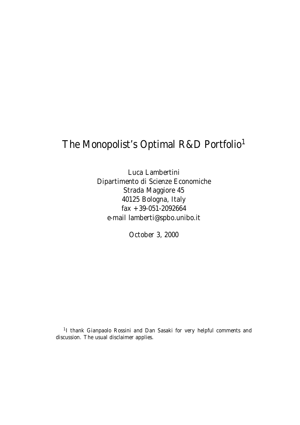# The Monopolist's Optimal R&D Portfolio<sup>1</sup>

Luca Lambertini Dipartimento di Scienze Economiche Strada Maggiore 45 40125 Bologna, Italy fax +39-051-2092664 e-mail lamberti@spbo.unibo.it

October 3, 2000

<sup>1</sup>I thank Gianpaolo Rossini and Dan Sasaki for very helpful comments and discussion. The usual disclaimer applies.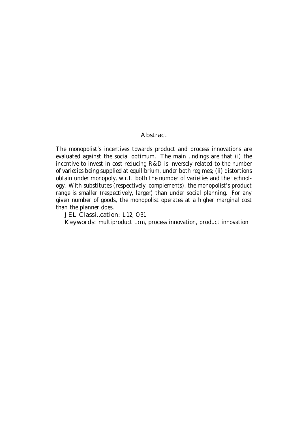#### Abstract

The monopolist's incentives towards product and process innovations are evaluated against the social optimum. The main …ndings are that (i) the incentive to invest in cost-reducing R&D is inversely related to the number of varieties being supplied at equilibrium, under both regimes; (ii) distortions obtain under monopoly, w.r.t. both the number of varieties and the technology. With substitutes (respectively, complements), the monopolist's product range is smaller (respectively, larger) than under social planning. For any given number of goods, the monopolist operates at a higher marginal cost than the planner does.

JEL Classi…cation: L12, O31

Keywords: multiproduct …rm, process innovation, product innovation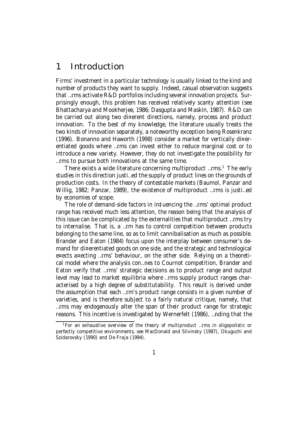### 1 Introduction

Firms' investment in a particular technology is usually linked to the kind and number of products they want to supply. Indeed, casual observation suggests that …rms activate R&D portfolios including several innovation projects. Surprisingly enough, this problem has received relatively scanty attention (see Bhattacharya and Mookherjee, 1986; Dasgupta and Maskin, 1987). R&D can be carried out along two di¤erent directions, namely, process and product innovation. To the best of my knowledge, the literature usually treats the two kinds of innovation separately, a noteworthy exception being Rosenkranz (1996). Bonanno and Haworth (1998) consider a market for vertically di¤erentiated goods where …rms can invest either to reduce marginal cost or to introduce a new variety. However, they do not investigate the possibility for …rms to pursue both innovations at the same time.

There exists a wide literature concerning multiproduct …rms. <sup>1</sup> The early studies in this direction justi…ed the supply of product lines on the grounds of production costs. In the theory of contestable markets (Baumol, Panzar and Willig, 1982; Panzar, 1989), the existence of multiproduct …rms is justi…ed by economies of scope.

The role of demand-side factors in in‡uencing the …rms' optimal product range has received much less attention, the reason being that the analysis of this issue can be complicated by the externalities that multiproduct …rms try to internalise. That is, a …rm has to control competition between products belonging to the same line, so as to limit cannibalisation as much as possible. Brander and Eaton (1984) focus upon the interplay between consumer's demand for di¤erentiated goods on one side, and the strategic and technological e¤ects a¤ecting …rms' behaviour, on the other side. Relying on a theoretical model where the analysis con…nes to Cournot competition, Brander and Eaton verify that …rms' strategic decisions as to product range and output level may lead to market equilibria where …rms supply product ranges characterised by a high degree of substitutability. This result is derived under the assumption that each …rm's product range consists in a given number of varieties, and is therefore subject to a fairly natural critique, namely, that …rms may endogenously alter the span of their product range for strategic reasons. This incentive is investigated by Wernerfelt (1986), …nding that the

<sup>&</sup>lt;sup>1</sup> For an exhaustive overview of the theory of multiproduct …rms in oligopolistic or perfectly competitive environments, see MacDonald and Slivinsky (1987), Okuguchi and Szidarovsky (1990) and De Fraja (1994).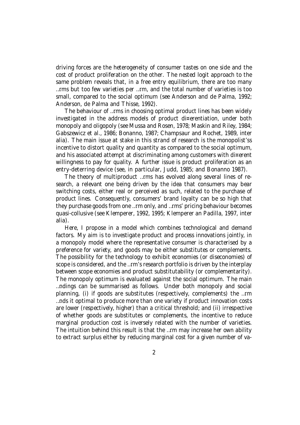driving forces are the heterogeneity of consumer tastes on one side and the cost of product proliferation on the other. The nested logit approach to the same problem reveals that, in a free entry equilibrium, there are too many …rms but too few varieties per …rm, and the total number of varieties is too small, compared to the social optimum (see Anderson and de Palma, 1992; Anderson, de Palma and Thisse, 1992).

The behaviour of …rms in choosing optimal product lines has been widely investigated in the address models of product di¤erentiation, under both monopoly and oligopoly (see Mussa and Rosen, 1978; Maskin and Riley, 1984; Gabszewicz et al., 1986; Bonanno, 1987; Champsaur and Rochet, 1989, inter alia). The main issue at stake in this strand of research is the monopolist'ss incentive to distort quality and quantity as compared to the social optimum, and his associated attempt at discriminating among customers with di¤erent willingness to pay for quality. A further issue is product proliferation as an entry-deterring device (see, in particular, Judd, 1985; and Bonanno 1987).

The theory of multiproduct …rms has evolved along several lines of research, a relevant one being driven by the idea that consumers may bear switching costs, either real or perceived as such, related to the purchase of product lines. Consequently, consumers' brand loyalty can be so high that they purchase goods from one …rm only, and …rms' pricing behaviour becomes quasi-collusive (see Klemperer, 1992, 1995; Klemperer an Padilla, 1997, inter alia).

Here, I propose in a model which combines technological and demand factors. My aim is to investigate product and process innovations jointly, in a monopoly model where the representative consumer is characterised by a preference for variety, and goods may be either substitutes or complements. The possibility for the technology to exhibit economies (or diseconomies) of scope is considered, and the …rm's research portfolio is driven by the interplay between scope economies and product substitutability (or complementarity). The monopoly optimum is evaluated against the social optimum. The main …ndings can be summarised as follows. Under both monopoly and social planning, (i) if goods are substitutes (respectively, complements) the …rm …nds it optimal to produce more than one variety if product innovation costs are lower (respectively, higher) than a critical threshold; and (ii) irrespective of whether goods are substitutes or complements, the incentive to reduce marginal production cost is inversely related with the number of varieties. The intuition behind this result is that the …rm may increase her own ability to extract surplus either by reducing marginal cost for a given number of va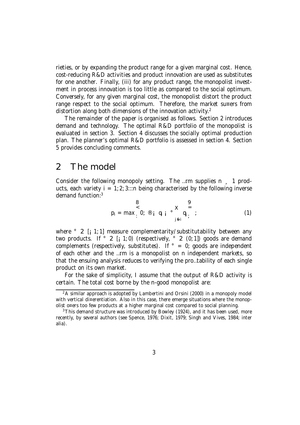rieties, or by expanding the product range for a given marginal cost. Hence, cost-reducing R&D activities and product innovation are used as substitutes for one another. Finally, (iii) for any product range, the monopolist investment in process innovation is too little as compared to the social optimum. Conversely, for any given marginal cost, the monopolist distort the product range respect to the social optimum. Therefore, the market su¤ers from distortion along both dimensions of the innovation activity.<sup>2</sup>

The remainder of the paper is organised as follows. Section 2 introduces demand and technology. The optimal R&D portfolio of the monopolist is evaluated in section 3. Section 4 discusses the socially optimal production plan. The planner's optimal R&D portfolio is assessed in section 4. Section 5 provides concluding comments.

#### 2 The model

Consider the following monopoly setting. The …rm supplies n ¸ 1 products, each variety  $i = 1, 2, 3...$  being characterised by the following inverse demand function:<sup>3</sup>

$$
p_{i} = max_{i} \begin{matrix} 8 \\ 0 \\ i \end{matrix} \begin{matrix} 8 \\ 0 \\ i \end{matrix} \begin{matrix} q_{i} \\ q_{j} \end{matrix} \begin{matrix} 9 \\ 0 \\ j \end{matrix} \begin{matrix} 9 \\ i \end{matrix} \begin{matrix} 1 \end{matrix}
$$

where  $\degree$  2 [; 1; 1] measure complementarity/substitutability between any two products. If  $\degree$  2 [; 1;0) (respectively,  $\degree$  2 (0;1)) goods are demand complements (respectively, substitutes). If  $\degree$  = 0; goods are independent of each other and the …rm is a monopolist on n independent markets, so that the ensuing analysis reduces to verifying the pro…tability of each single product on its own market.

For the sake of simplicity, I assume that the output of R&D activity is certain. The total cost borne by the n-good monopolist are:

 $2A$  similar approach is adopted by Lambertini and Orsini (2000) in a monopoly model with vertical di¤erentiation. Also in this case, there emerge situations where the monopolist o¤ers too few products at a higher marginal cost compared to social planning.

<sup>&</sup>lt;sup>3</sup>This demand structure was introduced by Bowley (1924), and it has been used, more recently, by several authors (see Spence, 1976; Dixit, 1979; Singh and Vives, 1984; inter alia).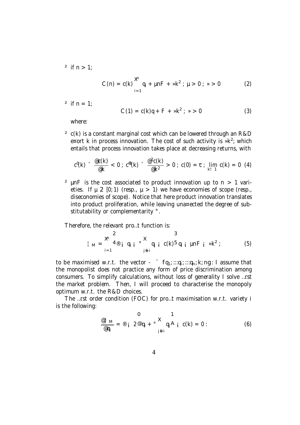<sup>2</sup> if  $n > 1$ ;

$$
C(n) = c(k) \sum_{i=1}^{m} q_i + \mu n F + \nu k^2; \quad \mu > 0; \quad \nu > 0
$$
 (2)

 $2 \text{ if } n = 1$ :

$$
C(1) = c(k)q + F + \nu k^2; \ \nu > 0 \tag{3}
$$

where:

 $2 c(k)$  is a constant marginal cost which can be lowered through an R&D e¤ort k in process innovation. The cost of such activity is » $k^2$ ; which entails that process innovation takes place at decreasing returns, with

$$
c^{0}(k) \sim \frac{\varpi_{C}(k)}{\varpi_{K}} < 0 \; ; \; c^{00}(k) \sim \frac{\varpi^{2}c(k)}{\varpi_{K^{2}}} > 0 \; ; \; c(0) = \tau \; ; \; \lim_{k \to \infty} c(k) = 0 \; (4)
$$

<sup>2</sup> µnF is the cost associated to product innovation up to  $n > 1$  varieties. If  $\mu$  2 [0; 1) (resp.,  $\mu$  > 1) we have economies of scope (resp., diseconomies of scope). Notice that here product innovation translates into product proliferation, while leaving una¤ected the degree of substitutability or complementarity °.

Therefore, the relevant pro…t function is:

$$
\begin{array}{l}\n\downarrow_{\mathsf{M}} = \sum_{i=1}^{8} \mathbf{A}^{\otimes} \mathbf{a}_{i} \mathbf{q}_{i} \mathbf{q}_{i} \circ \mathbf{X} \\
\downarrow_{\mathsf{M}} = \sum_{i=1}^{8} \mathbf{q}_{i} \mathbf{q}_{i} \mathbf{q}_{i} \mathbf{q}_{i} \mathbf{q}_{i} \mathbf{q}_{i} \mathbf{q}_{i} \mathbf{q}_{i} \mathbf{q}_{i} \mathbf{q}_{i} \mathbf{q}_{i} \mathbf{q}_{i} \n\end{array} \tag{5}
$$

to be maximised w.r.t. the vector  $\int f q_1; \dots, q_i; \dots, q_n; k; n$ g: I assume that the monopolist does not practice any form of price discrimination among consumers. To simplify calculations, without loss of generality I solve …rst the market problem. Then, I will proceed to characterise the monopoly optimum w.r.t. the R&D choices.

The …rst order condition (FOC) for pro…t maximisation w.r.t. variety i is the following:

$$
\frac{\mathbf{Q}_{\mathsf{T}}\mathbf{M}}{\mathbf{Q}_{\mathsf{q}_{\mathsf{i}}}} = \mathbf{Q}_{\mathsf{i}} \quad 2 \mathbf{Q}_{\mathsf{q}_{\mathsf{i}}} + \mathbf{Q}_{\mathsf{j}} \mathbf{X}_{\mathsf{q}_{\mathsf{j}}} \mathbf{A}_{\mathsf{i}} \quad \mathbf{C}(\mathsf{k}) = 0: \tag{6}
$$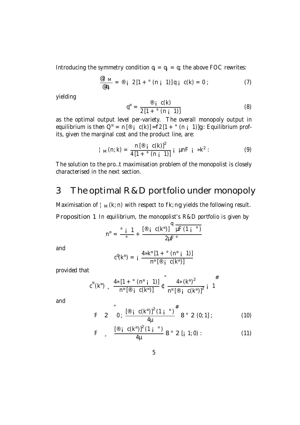Introducing the symmetry condition  $q_i = q_j = q$ ; the above FOC rewrites:

$$
\frac{\mathscr{Q}_+^+ M}{\mathscr{Q}_{q_i}} = \mathscr{Q}_i \ 2[1 + \degree (n_i \ 1)] q_i \ c(k) = 0 ; \qquad (7)
$$

yielding

$$
q^{n} = \frac{\mathcal{D}_{i} c(k)}{2[1 + \mathcal{C}_{i} (n_{i} 1)]}
$$
 (8)

as the optimal output level per-variety. The overall monopoly output in equilibrium is then  $Q^a = n [\n\textdegree]$  c(k)] = f2 [1 +  $\textdegree$  (n  $\textdegree]$  1)]g : Equilibrium profits, given the marginal cost and the product line, are:

$$
\vert_{M}(n;k) = \frac{n \left[ \mathbb{B} \; \mathsf{i} \; c(k) \right]^2}{4 \left[ 1 + \mathbb{I} \; (n \; \mathsf{i} \; 1) \right]} \; \mathsf{i} \; \; \mathsf{p} \mathsf{n} \mathsf{F} \; \mathsf{i} \; \; \mathsf{p} \mathsf{k}^2 : \tag{9}
$$

The solution to the pro…t maximisation problem of the monopolist is closely characterised in the next section.

### 3 The optimal R&D portfolio under monopoly

Maximisation of  $\frac{1}{M}$  (k; n) with respect to fk; ng yields the following result.

Proposition 1 In equilibrium, the monopolist's R&D portfolio is given by

$$
n^{n} = \frac{\circ i \quad 1}{\circ} + \frac{[\circledast i \quad c(k^{n})]}{2\mu F \circ}
$$

and

$$
c^0(k^\pi) = i \frac{4\mathfrak{z} k^\pi [1 + \degree(n^\pi i 1)]}{n^\pi [\degree(i \space c(k^\pi)]}
$$

provided that

$$
c^{00}(k^{\pi})
$$
,  $\frac{4 \pi [1 + {^{\circ}}(n^{\pi} \text{ }i \text{ }1)]}{n^{\pi} [^{(8)} \text{ }i \text{ } C(k^{\pi})]} \text{ } \int_{0}^{\pi} \frac{4 \pi (k^{\pi})^{2}}{n^{\pi} [^{(8)} \text{ }i \text{ } C(k^{\pi})]^{2}} \text{ }i \text{ } 1$ 

and

F 2 0; 
$$
\frac{[\mathscr{D} \text{ i } C(k^{\pi})]^2 (1 \text{ i }^{\circ})^{\#}}{4\mu}
$$
 8° 2 (0; 1] ; (10)

F 
$$
\int \frac{[\mathbb{P} i \ C(k^{\pi})]^2 (1 i \cdot \mathbb{P})}{4\mu} 8 \cdot 2 [i \ 1; 0)
$$
 : (11)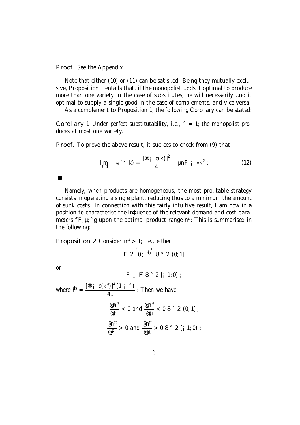Proof. See the Appendix.

Note that either (10) or (11) can be satis…ed. Being they mutually exclusive, Proposition 1 entails that, if the monopolist …nds it optimal to produce more than one variety in the case of substitutes, he will necessarily …nd it optimal to supply a single good in the case of complements, and vice versa.

As a complement to Proposition 1, the following Corollary can be stated:

Corollary 1 Under perfect substitutability, i.e.,  $\degree$  = 1; the monopolist produces at most one variety.

Proof. To prove the above result, it su¢ces to check from (9) that

$$
\lim_{n \to \infty} \frac{1}{n} \ln(n; k) = \frac{[8i \ c(k)]^2}{4} i \ \mu nF \ i \ \ \Re k^2:
$$
 (12)

Namely, when products are homogeneous, the most pro…table strategy consists in operating a single plant, reducing thus to a minimum the amount of sunk costs. In connection with this fairly intuitive result, I am now in a position to characterise the in‡uence of the relevant demand and cost parameters  $fF$ ;  $\mu$ ;  $^{\circ}$ g upon the optimal product range n<sup>¤</sup>: This is summarised in the following:

Proposition 2 Consider 
$$
n^{\alpha} > 1
$$
; i.e., either

\n $h$ 

\n $F \, 2 \, 0$ ;  $p^{\beta} \, 8 \,^{\circ} \, 2 \, (0; 1]$ 

or

$$
F \supseteq \mathbf{P} \mathbf{B} \circ 2 [i \ 1:0);
$$
\nwhere  $\mathbf{P} = \frac{[\mathbf{P} \mathbf{i} \ \mathbf{C}(\mathbf{k}^n)]^2 (1 \mathbf{i} \cdot \mathbf{S})}{4\mu}$ : Then we have  $\frac{\mathbf{P} \mathbf{n}^n}{\mathbf{P} \mathbf{F}} < 0 \text{ and } \frac{\mathbf{P} \mathbf{n}^n}{\mathbf{P} \mathbf{F}} < 0 \mathbf{B} \circ 2 (0:1];$ \n $\frac{\mathbf{P} \mathbf{n}^n}{\mathbf{P} \mathbf{F}} > 0 \text{ and } \frac{\mathbf{P} \mathbf{n}^n}{\mathbf{P} \mathbf{F}} > 0 \mathbf{B} \circ 2 [i \ 1:0):$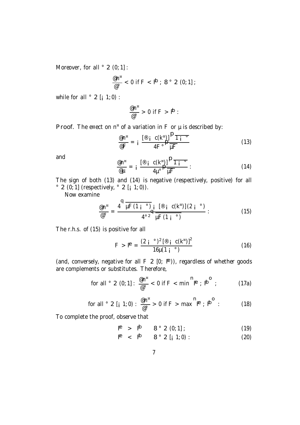Moreover, for all  $\degree$  2 (0; 1] :

$$
\frac{\text{d} n^{\alpha}}{\text{d} \sigma} < 0 \text{ if } F < \overset{\mathbf{b}}{\mathbf{P}} \; ; \; 8 \text{ }^{\circ} \text{ } 2 \text{ (0; 1]} \; ;
$$

while for all  $\degree$  2 [ $\text{i}$  1; 0) :

$$
\frac{\mathscr{C}\mathsf{n}^{\mathfrak{n}}}{\mathscr{C}^{\circ}} > 0 \text{ if } F > \mathsf{P}:
$$

**Proof.** The e¤ect on  $n^{\alpha}$  of a variation in F or  $\mu$  is described by:

$$
\frac{\mathscr{E}n^{\mathscr{E}}}{\mathscr{E}F} = i \frac{\left[\mathscr{E} i C(k^{\mathscr{E}})\right]^{D}\overline{1}_{i}^{\circ}}{4F^{\circ}} \tag{13}
$$

and

$$
\frac{\varpi n^{\pi}}{\varpi \mu} = i \frac{\left[\mathbb{P} i C(k^{\pi})\right]^{D} \overline{1 i^{\circ}}}{4 \mu^{\circ}} \frac{\mathbb{P} \overline{1 i^{\circ}}}{\mu F} : \tag{14}
$$

The sign of both (13) and (14) is negative (respectively, positive) for all  $\degree$  2 (0; 1] (respectively,  $\degree$  2 [; 1; 0)).

Now examine

$$
\frac{\mathscr{Q}_{\mathsf{n}^{\mathsf{n}}}}{\mathscr{Q}^{\circ}} = \frac{4^{\mathsf{q}}\mu\mathrm{F}\left(1\;\mathsf{i}^{\mathsf{n}\circ}\right)}{4^{\circ 2}}\frac{\mathrm{i}^{\mathsf{q}}\left[\mathscr{Q}\;\mathsf{i}^{\mathsf{n}}\mathscr{Q}\right]\left(2\;\mathsf{i}^{\mathsf{n}\circ}\right)}{4^{\circ 2}\mu\mathrm{F}\left(1\;\mathsf{i}^{\mathsf{n}\circ}\right)}\;.\tag{15}
$$

The r.h.s. of (15) is positive for all

$$
F > F^{\text{P}} = \frac{(2 \text{ i } {}^{\circ})^2 \left[ \text{ }^{\circ}\text{ } \text{ }i \text{ } \text{ } c \text{ (k}^{\text{ } \text{ }n}\text{)}\right]^2}{16 \mu (1 \text{ i } {}^{\circ})}
$$
(16)

(and, conversely, negative for all  $F \supseteq [0; F)$ ), regardless of whether goods are complements or substitutes. Therefore,

for all 
$$
\circ
$$
 2 (0; 1]:  $\frac{\omega n^{\alpha}}{\omega^{\circ}} < 0$  if F < min  $\mathbb{P}$ ;  $\mathbb{P}^{\circ}$  ; (17a)

for all ° 2 [
$$
\mathbf{i}
$$
 1; 0) :  $\frac{\mathbf{e} \mathbf{n}^{\mathbf{n}}}{\mathbf{e}^{\circ}} > 0$  if  $F > \max^{\mathbf{n}} \mathbf{P}$ ;  $\mathbf{p}^{\mathbf{o}}$  : (18)

To complete the proof, observe that

$$
P^{\bullet} > P^{\bullet} \qquad 8^{\circ} \; 2 \; (0;1]; \tag{19}
$$

$$
\mathbf{P} \quad < \quad \mathbf{P} \tag{20}
$$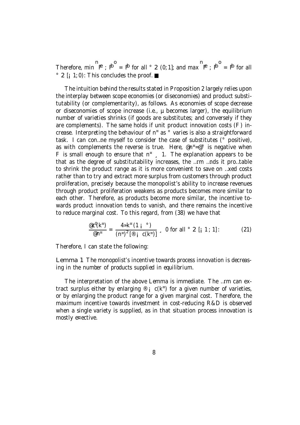Therefore, min  $\mathbf{P}^{\perp}$ ;  $\mathbf{P}^{\perp} = \mathbf{P}$  for all ° 2 (0; 1]; and max  $\mathbf{P}$ ;  $\mathbf{P}^{\perp} = \mathbf{P}$  for all  $\degree$  2 [; 1; 0): This concludes the proof.

The intuition behind the results stated in Proposition 2 largely relies upon the interplay between scope economies (or diseconomies) and product substitutability (or complementarity), as follows. As economies of scope decrease or diseconomies of scope increase (i.e., µ becomes larger), the equilibrium number of varieties shrinks (if goods are substitutes; and conversely if they are complements). The same holds if unit product innovation costs (F) increase. Interpreting the behaviour of n ¤ as ° varies is also a straightforward task. I can con…ne myself to consider the case of substitutes (° positive), as with complements the reverse is true. Here, @n<sup>¤</sup>=@° is negative when F is small enough to ensure that  $n^{\mu}$ , 1. The explanation appears to be that as the degree of substitutability increases, the …rm …nds it pro…table to shrink the product range as it is more convenient to save on …xed costs rather than to try and extract more surplus from customers through product proliferation, precisely because the monopolist's ability to increase revenues through product proliferation weakens as products becomes more similar to each other. Therefore, as products become more similar, the incentive towards product innovation tends to vanish, and there remains the incentive to reduce marginal cost. To this regard, from (38) we have that

$$
\frac{\mathscr{C}\mathscr{C}^{\mathsf{I}}(k^{\mathsf{B}})}{\mathscr{C}n^{\mathsf{B}}}=\frac{4\mathscr{R}^{\mathsf{B}}(1\mathsf{i} \mathsf{S})}{(n^{\mathsf{B}})^{2}[\mathscr{C}i\mathsf{j} \mathsf{C}(k^{\mathsf{B}})]}\mathsf{s} \quad \text{0 for all } \mathscr{S}2[i\mathsf{1};1]:\tag{21}
$$

Therefore, I can state the following:

Lemma 1 The monopolist's incentive towards process innovation is decreasing in the number of products supplied in equilibrium.

The interpretation of the above Lemma is immediate. The …rm can extract surplus either by enlarging  $\mathcal{P}_i$  c( $k^n$ ) for a given number of varieties, or by enlarging the product range for a given marginal cost. Therefore, the maximum incentive towards investment in cost-reducing R&D is observed when a single variety is supplied, as in that situation process innovation is mostly e¤ective.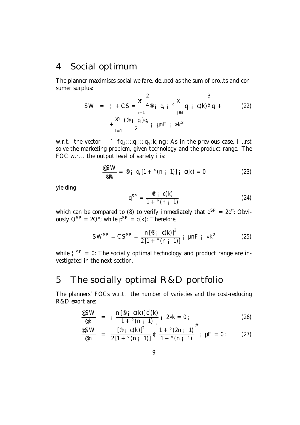### 4 Social optimum

The planner maximises social welfare, de…ned as the sum of pro…ts and consumer surplus:

SW = 
$$
| + CS| = \sum_{i=1}^{8} 4 \otimes_{i} q_{i} i \otimes \sum_{j \in i} q_{j} i C(k)5 q_{i} +
$$
  
+  $\sum_{i=1}^{8} \frac{(\otimes_{i} p_{i}) q_{i}}{2} i \mu nF i \gg k^{2}$  (22)

w.r.t. the vector - ´ fq<sub>1</sub>; :::q<sub>i</sub>; :::q<sub>n</sub>; k; ng : As in the previous case, I ...rst solve the marketing problem, given technology and the product range. The FOC w.r.t. the output level of variety i is:

$$
\frac{\mathscr{E}SW}{\mathscr{Q}_{ij}} = \mathscr{E}_i \quad q_i \left[1 + \mathscr{C}(n_i \quad 1)\right] \mathfrak{i} \quad c(k) = 0 \tag{23}
$$

yielding

$$
q^{SP} = \frac{\mathcal{D}_i \ c(k)}{1 + \mathcal{C}(n_i \ 1)}
$$
 (24)

which can be compared to (8) to verify immediately that  $q^{SP} = 2q^{\alpha}$ : Obviously  $Q^{SP} = 2Q^{\alpha}$ ; while  $p^{SP} = c(k)$ : Therefore,

$$
SW^{SP} = CS^{SP} = \frac{n[\mathcal{B} \text{ i } C(k)]^{2}}{2[1 + \mathcal{C}(n + 1)]} \text{ i } \mu nF \text{ i } *k^{2}
$$
 (25)

while  $\frac{1}{5}$  SP = 0: The socially optimal technology and product range are investigated in the next section.

### 5 The socially optimal R&D portfolio

The planners' FOCs w.r.t. the number of varieties and the cost-reducing R&D e¤ort are:

$$
\frac{\text{eSW}}{\text{eK}} = i \frac{n \, [\text{e} \, i \, c(k)] \, c^0(k)}{1 + \text{e}(n \, i \, 1) \, \text{e}} \, i \, 2 \cdot k = 0 \, ; \tag{26}
$$

$$
\frac{\text{eSW}}{\text{e}n} = \frac{[\text{e} \, \text{i} \, \text{c(k)}]^2}{2[1 + \text{e}(n \, \text{i} \, 1)]} \text{t} \, \frac{1 + \text{e}(2n \, \text{i} \, 1)}{1 + \text{e}(n \, \text{i} \, 1)} \text{ i } \mu = 0: \qquad (27)
$$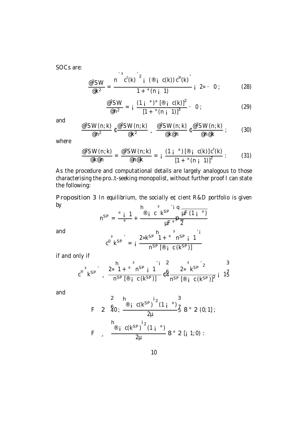SOCs are:

$$
\frac{\omega^2 \text{SW}}{\omega k^2} = \frac{n^2 c^0(k)^2 i^{(0)} i^{(0)} i^{(0)}(k)}{1 + c(n+1)} i^{2} i^{(2)} \tag{28}
$$

$$
\frac{\mathcal{Q}^2 \text{SW}}{\mathcal{Q} \text{n}^2} = i \frac{(1 i \text{ }^{\circ})^{\circ} [\mathcal{Q} \text{ } i \text{ } \text{C(k)}]^2}{[1 + \text{ }^{\circ} \text{(n } i \text{ } 1)]^3} \cdot 0 ; \qquad (29)
$$

and

$$
\frac{\mathcal{Q}^2 \text{SW}(n; k)}{\mathcal{Q} n^2} \mathfrak{t} \frac{\mathcal{Q}^2 \text{SW}(n; k)}{\mathcal{Q} k^2} , \frac{\mathcal{Q}^2 \text{SW}(n; k)}{\mathcal{Q} k \mathcal{Q} n} \mathfrak{t} \frac{\mathcal{Q}^2 \text{SW}(n; k)}{\mathcal{Q} n \mathcal{Q} k} ; \qquad (30)
$$

where

$$
\frac{\mathcal{Q}^2 \text{SW}(n; k)}{\mathcal{Q} \text{K}\mathcal{Q} \text{N}} = \frac{\mathcal{Q}^2 \text{SW}(n; k)}{\mathcal{Q} \text{N}\mathcal{Q} \text{N}} = i \frac{(1 i \text{ }^{\circ}) [\mathcal{Q} \text{ }^{\circ} \text{ } (k)] c^{\circ} (k)}{[1 + \text{ }^{\circ} \text{ } (n \text{ } i \text{ } 1)]^2} : \qquad (31)
$$

As the procedure and computational details are largely analogous to those characterising the pro…t-seeking monopolist, without further proof I can state the following:

Proposition 3 In equilibrium, the socially e¢cient R&D portfolio is given by  $\mathbf{h}$  $\overline{\mathbf{3}}$ 

and  

$$
n^{SP} = \frac{0.5 \text{ m} \cdot 1}{0.5 \text{ m}} + \frac{0.5 \text{ m} \cdot 10 \text{ m}}{10 \text{ m}} = \frac{1.5 \text{ m}}{10 \text{ m}} = \frac{1.5 \text{ m}}{10 \text{ m}} = \frac{2 \text{ m} \cdot 10 \text{ m}}{10 \text{ m}} = \frac{1.5 \text{ m}}{10 \text{ m}} = \frac{1.5 \text{ m}}{10 \text{ m}} = \frac{1.5 \text{ m}}{10 \text{ m}} = \frac{1.5 \text{ m}}{10 \text{ m}} = \frac{1.5 \text{ m}}{10 \text{ m}} = \frac{1.5 \text{ m}}{10 \text{ m}} = \frac{1.5 \text{ m}}{10 \text{ m}} = \frac{1.5 \text{ m}}{10 \text{ m}} = \frac{1.5 \text{ m}}{10 \text{ m}} = \frac{1.5 \text{ m}}{10 \text{ m}} = \frac{1.5 \text{ m}}{10 \text{ m}} = \frac{1.5 \text{ m}}{10 \text{ m}} = \frac{1.5 \text{ m}}{10 \text{ m}} = \frac{1.5 \text{ m}}{10 \text{ m}} = \frac{1.5 \text{ m}}{10 \text{ m}} = \frac{1.5 \text{ m}}{10 \text{ m}} = \frac{1.5 \text{ m}}{10 \text{ m}} = \frac{1.5 \text{ m}}{10 \text{ m}} = \frac{1.5 \text{ m}}{10 \text{ m}} = \frac{1.5 \text{ m}}{10 \text{ m}} = \frac{1.5 \text{ m}}{10 \text{ m}} = \frac{1.5 \text{ m}}{10 \text{ m}} = \frac{1.5 \text{ m}}{10 \text{ m}} = \frac{1.5 \text{ m}}{10 \text{ m}} = \frac{1.5 \text{ m}}{10 \text{ m}} = \frac{1.5 \text{ m}}{10 \text{ m}} = \frac{1.5 \text{ m}}{10 \text{ m}} = \frac{1.5 \text{ m}}{10 \text{ m}} = \frac{1.5 \text{ m}}{10 \text{ m}} = \frac{1.5 \text{ m}}{10 \text{ m}} = \frac{1.5 \text{ m}}{10 \text{ m}} = \frac{1.5 \text{
$$

if and only if

$$
c^{\omega^{3}}k^{SP}
$$
,  $\frac{2\nu^{1} + \nu^{3}n^{SP} + 1}{n^{SP}[\mathcal{D} + C(k^{SP})]} \times \frac{2\nu^{3}k^{SP}}{n^{SP}[\mathcal{D} + C(k^{SP})]} \times \frac{2\nu^{3}k^{SP}}{n^{SP}[\mathcal{D} + C(k^{SP})]^{2}} + \frac{3\nu^{3}k^{SP}}{15}$ 

and

$$
F \quad 2 \quad \stackrel{\mathbf{2}}{40} \, ; \, \stackrel{\mathbf{h}_{\text{B}}}{\longrightarrow} \, \frac{c(k^{\text{SP}})}{2\mu} \, \stackrel{\mathbf{1}_2}{\longrightarrow} \, 3 \, 8 \, \text{° } 2 \, (0; 1] \, ; \quad \mathbf{F} \quad , \quad \stackrel{\mathbf{h}_{\text{B}}}{\longrightarrow} \, \frac{c(k^{\text{SP}})}{2\mu} \, \stackrel{\mathbf{i}_2}{\longrightarrow} \, (1 \, \stackrel{\circ}{\longrightarrow}) \, 8 \, \text{° } 2 \, [1 \, 1; 0) \, : \quad \mathbf{F}
$$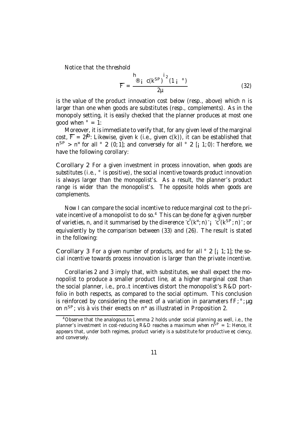Notice that the threshold

$$
\overline{F} = \frac{\frac{h}{\mathcal{B}} \int i^2 (1 - \epsilon)^{1/2}}{2\mu} \tag{32}
$$

is the value of the product innovation cost below (resp., above) which n is larger than one when goods are substitutes (resp., complements). As in the monopoly setting, it is easily checked that the planner produces at most one good when  $\degree$  = 1:

Moreover, it is immediate to verify that, for any given level of the marginal  $\cot, \overline{F} = 2$ i $\overline{P}$ : Likewise, given k (i.e., given c(k)), it can be established that  $n^{SP}$  > n<sup>¤</sup> for all ° 2 (0; 1]; and conversely for all ° 2 [<sub>i</sub> 1; 0): Therefore, we have the following corollary:

Corollary 2 For a given investment in process innovation, when goods are substitutes (i.e.,  $\degree$  is positive), the social incentive towards product innovation is always larger than the monopolist's. As a result, the planner's product range is wider than the monopolist's. The opposite holds when goods are complements.

Now I can compare the social incentive to reduce marginal cost to the private incentive of a monopolist to do so.<sup>4</sup> This can be done for a given number of varieties, n, and it summarised by the di¤erence  $\overline{c}^{\text{e}}(k^{\text{m}}; n)$  i  $-c^0(k^{SP}; n)$  ; or equivalently by the comparison between (33) and (26). The result is stated in the following:

Corollary 3 For a given number of products, and for all  $\degree$  2 [; 1; 1]; the social incentive towards process innovation is larger than the private incentive.

Corollaries 2 and 3 imply that, with substitutes, we shall expect the monopolist to produce a smaller product line, at a higher marginal cost than the social planner, i.e., pro…t incentives distort the monopolist's R&D portfolio in both respects, as compared to the social optimum. This conclusion is reinforced by considering the e¤ect of a variation in parameters  $fF: \circ$ ; ug on n<sup>SP</sup>; vis à vis their e¤ects on n<sup>¤</sup> as illustrated in Proposition 2.

<sup>4</sup>Observe that the analogous to Lemma 2 holds under social planning as well, i.e., the planner's investment in cost-reducing R&D reaches a maximum when  $n^{SP} = 1$ : Hence, it appears that, under both regimes, product variety is a substitute for productive e¢ciency, and conversely.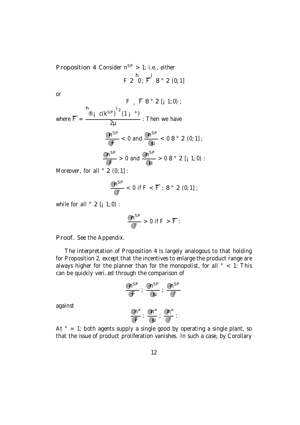**Proposition 4 Consider n**<sup>SP</sup> > 1; i.e., either F 2  $0; \overline{F}$  8 ° 2 (0; 1]

or

$$
F \supset F \circ P = \frac{\int_{\text{R}}^{R} E(S \cap P) \cdot \int_{\text{R}}^{R} i_{2} \cdot (1 + \frac{1}{2})}{2\mu}
$$
\n
$$
\frac{\int_{\text{R}}^{R} E(S \cap P) \cdot \int_{\text{R}}^{R} i_{2} \cdot (1 + \frac{1}{2})}{\mu} = \frac{\int_{\text{R}}^{R} E(S \cap P) \cdot \int_{\text{R}}^{R} i_{2} \cdot (1 + \frac{1}{2})}{\mu} = \frac{\int_{\text{R}}^{R} E(S \cap P) \cdot \int_{\text{R}}^{R} i_{2} \cdot (1 + \frac{1}{2})}{\mu} = \frac{\int_{\text{R}}^{R} E(S \cap P) \cdot \int_{\text{R}}^{R} i_{2} \cdot (1 + \frac{1}{2})}{\mu} = \frac{\int_{\text{R}}^{R} E(S \cap P) \cdot \int_{\text{R}}^{R} i_{2} \cdot (1 + \frac{1}{2})}{\mu} = \frac{\int_{\text{R}}^{R} E(S \cap P) \cdot \int_{\text{R}}^{R} i_{2} \cdot (1 + \frac{1}{2})}{\mu} = \frac{\int_{\text{R}}^{R} E(S \cap P) \cdot \int_{\text{R}}^{R} i_{2} \cdot (1 + \frac{1}{2})}{\mu} = \frac{\int_{\text{R}}^{R} E(S \cap P) \cdot \int_{\text{R}}^{R} i_{2} \cdot (1 + \frac{1}{2})}{\mu} = \frac{\int_{\text{R}}^{R} E(S \cap P) \cdot \int_{\text{R}}^{R} i_{2} \cdot (1 + \frac{1}{2})}{\mu} = \frac{\int_{\text{R}}^{R} E(S \cap P) \cdot \int_{\text{R}}^{R} i_{2} \cdot (1 + \frac{1}{2})}{\mu} = \frac{\int_{\text{R}}^{R} E(S \cap P) \cdot \int_{\text{R}}^{R} i_{2} \cdot (1 + \frac{1}{2})}{\mu} = \frac{\int_{\text{R}}^{R} E(S \cap P) \cdot \int_{\text{R}}^{R} i_{2} \cdot (1 + \frac{1}{2})}{\mu} = \frac{\int_{\text{R}}^{R} E(S \cap P) \cdot \int_{\text{R}}^{R} i_{2} \cdot (1 + \frac{1}{2})}{\mu} =
$$

Moreover, for all  $\degree$  2 (0; 1] :

$$
\frac{\text{e}n^{SP}}{\text{e}^{\circ}} < 0 \text{ if } F < \overline{F} \; ; \; 8 \text{ }^{\circ} \text{ } 2 \text{ (0; 1]} \; ;
$$

while for all  $\degree$  2 [ $\text{i}$  1; 0) :

$$
\frac{\mathsf{e} n^{SP}}{\mathsf{e}^{\circ}} > 0 \text{ if } F > \overline{F}:
$$

Proof. See the Appendix.

The interpretation of Proposition 4 is largely analogous to that holding for Proposition 2, except that the incentives to enlarge the product range are always higher for the planner than for the monopolist, for all  $\degree$  < 1: This can be quickly veri…ed through the comparison of

$$
\frac{\mathsf{e} n^{SP}}{\mathsf{e} F} : \frac{\mathsf{e} n^{SP}}{\mathsf{e} \mu} : \frac{\mathsf{e} n^{SP}}{\mathsf{e}^{\circ}}
$$

against

$$
\frac{\text{e} n^{\tt\scriptscriptstyle u}}{\text{e} F}~;~\frac{\text{e} n^{\tt\scriptscriptstyle u}}{\text{e} \mu}~;~\frac{\text{e} n^{\tt\scriptscriptstyle u}}{\text{e}^{\circ}}~;
$$

At  $\degree$  = 1; both agents supply a single good by operating a single plant, so that the issue of product proliferation vanishes. In such a case, by Corollary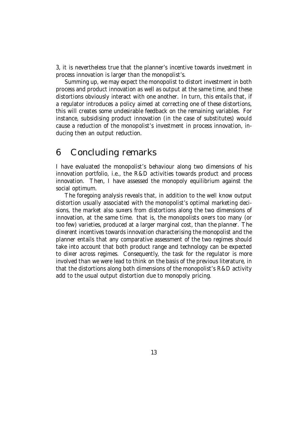3, it is nevertheless true that the planner's incentive towards investment in process innovation is larger than the monopolist's.

Summing up, we may expect the monopolist to distort investment in both process and product innovation as well as output at the same time, and these distortions obviously interact with one another. In turn, this entails that, if a regulator introduces a policy aimed at correcting one of these distortions, this will creates some undesirable feedback on the remaining variables. For instance, subsidising product innovation (in the case of substitutes) would cause a reduction of the monopolist's investment in process innovation, inducing then an output reduction.

#### 6 Concluding remarks

I have evaluated the monopolist's behaviour along two dimensions of his innovation portfolio, i.e., the R&D activities towards product and process innovation. Then, I have assessed the monopoly equilibrium against the social optimum.

The foregoing analysis reveals that, in addition to the well know output distortion usually associated with the monopolist's optimal marketing decisions, the market also su¤ers from distortions along the two dimensions of innovation, at the same time. that is, the monopolists o¤ers too many (or too few) varieties, produced at a larger marginal cost, than the planner. The di¤erent incentives towards innovation characterising the monopolist and the planner entails that any comparative assessment of the two regimes should take into account that both product range and technology can be expected to di¤er across regimes. Consequently, the task for the regulator is more involved than we were lead to think on the basis of the previous literature, in that the distortions along both dimensions of the monopolist's R&D activity add to the usual output distortion due to monopoly pricing.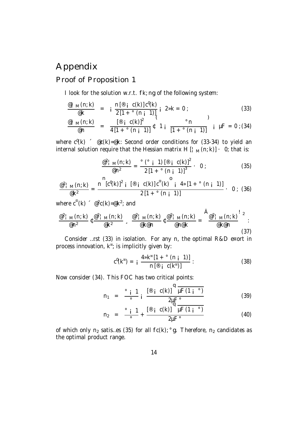## Appendix

#### Proof of Proposition 1

I look for the solution w.r.t. fk; ng of the following system:

$$
\frac{\mathscr{Q} \,|\, \mathsf{M}(n; k)}{\mathscr{Q} \,k} \quad = \quad i \; \frac{\mathsf{n} \, [\mathscr{Q} \,|\, \mathsf{c}(k)] \, \mathsf{c}^0(k)}{2 \, [1 + \,^\circ \, (n \,|\, 1)]}, \quad 2 \, \mathsf{M} \, = \, 0 \; ; \tag{33}
$$

$$
\frac{\varphi_{\text{1 M}}(n; k)}{\varphi_{\text{1}}} = \frac{[\varphi_{\text{1 C}}(k)]^2}{4[1 + \varphi_{\text{2}}(n; 1)]} \sqrt[6]{1 + \frac{\varphi_{\text{1}}(n; k)}{[1 + \varphi_{\text{2}}(n; 1)]}} \text{ if } \mu = 0 \text{ (34)}
$$

where  $c^0(k)$   $\in$   $\mathfrak{C}(k)$ =@k: Second order conditions for (33-34) to yield an internal solution require that the Hessian matrix H  $[\cdot_{M}(n; k)] \cdot 0$ ; that is:

$$
\frac{\mathcal{Q}^2 \mid M(n;k)}{\mathcal{Q}n^2} = \frac{\mathcal{Q}(\mathcal{Q} \mid 1) \left[ \mathcal{Q} \mid c(k) \right]^2}{2 \left[ 1 + \mathcal{Q}(n+1) \right]^3} \cdot 0 ; \qquad (35)
$$

$$
\frac{\mathcal{Q}^{2} \upharpoonright_{M}(n;k)}{\mathcal{Q}k^{2}} = \frac{n^{2} [c^{0}(k)]^{2} \upharpoonright [\mathcal{Q}^{0} \upharpoonright (k)] c^{0}(k) \mathcal{Q}^{0}(k) \mathcal{Q}^{0}(k) \mathcal{Q}^{1}(\{1 + \mathcal{Q}^{0}(n+1)\} \mathcal{Q}^{1}(\{1 + \mathcal{Q}^{0} \upharpoonright (k+1)\} \mathcal{Q}^{1}(\{1 + \mathcal{Q}^{0} \upharpoonright (k+1)\} \mathcal{Q}^{1}(\{1 + \mathcal{Q}^{0} \upharpoonright (k+1)\} \mathcal{Q}^{1}(\{1 + \mathcal{Q}^{0} \upharpoonright (k+1)\} \mathcal{Q}^{1}(\{1 + \mathcal{Q}^{0} \upharpoonright (k+1)\} \mathcal{Q}^{1}(\{1 + \mathcal{Q}^{0} \upharpoonright (k+1)\} \mathcal{Q}^{1}(\{1 + \mathcal{Q}^{0} \upharpoonright (k+1)\} \mathcal{Q}^{1}(\{1 + \mathcal{Q}^{0} \upharpoonright (k+1)\} \mathcal{Q}^{1}(\{1 + \mathcal{Q}^{0} \upharpoonright (k+1)\} \mathcal{Q}^{1}(\{1 + \mathcal{Q}^{0} \upharpoonright (k+1)\} \mathcal{Q}^{1}(\{1 + \mathcal{Q}^{0} \upharpoonright (k+1)\} \mathcal{Q}^{1}(\{1 + \mathcal{Q}^{0} \upharpoonright (k+1)\} \mathcal{Q}^{1}(\{1 + \mathcal{Q}^{0} \upharpoonright (k+1)\} \mathcal{Q}^{1}(\{1 + \mathcal{Q}^{0} \upharpoonright (k+1)\} \mathcal{Q}^{1}(\{1 + \mathcal{Q}^{0} \upharpoonright (k+1)\} \mathcal{Q}^{1}(\{1 + \mathcal{Q}^{0} \upharpoonright (k+1)\} \mathcal{Q}^{1}(\{1 + \mathcal{Q}^{0} \upharpoonright (k+1)\} \mathcal{Q}^{1}(\{1 + \mathcal{Q}^{0} \upharpoonright (k+1)\} \mathcal{Q}^{1}(\{1 + \mathcal{Q}^{0} \upharpoonright (k+1)\} \mathcal{Q}^{
$$

where  $c^{\omega}(k) \in \mathbb{C}^2$ c $(k)$ =@k<sup>2</sup>; and

$$
\frac{\frac{\omega^2 + \mathsf{M}(n; k)}{\omega n^2} \mathfrak{c} \frac{\omega^2 + \mathsf{M}(n; k)}{\omega k^2}}{\frac{\omega^2 + \mathsf{M}(n; k)}{\omega k \omega n}} \mathfrak{c} \frac{\frac{\omega^2 + \mathsf{M}(n; k)}{\omega n \omega k}}{\frac{\omega^2 + \mathsf{M}(n; k)}{\omega n \omega k}} = \frac{\mathsf{A}_{\frac{\omega^2 + \mathsf{M}(n; k)}{\omega k \omega n}}^2}{\frac{\omega^2 + \mathsf{M}(n; k)}{\omega k \omega n}} \tag{37}
$$

Consider …rst (33) in isolation. For any n, the optimal R&D e¤ort in process innovation, k ¤ ; is implicitly given by:

$$
c^{0}(k^{\pi}) = i \frac{4\pi k^{\pi} [1 + \degree (n \frac{1}{k})]}{n [\degree j \space c(k^{\pi})]} :
$$
 (38)

Now consider (34). This FOC has two critical points:

n<sup>1</sup> = ° ¡ 1 ° ¡ [® ¡ c(k)] q µF(1 ¡ °) 2µF° (39)

$$
n_2 = \frac{\circ i \ 1}{\circ} + \frac{[\circ i \ c(k)]^2 \mu F (1 i \ ^{\circ})}{2 \mu F^{\circ}}
$$
(40)

of which only  $n_2$  satis...es (35) for all  $fc(k)$ ; °g. Therefore,  $n_2$  candidates as the optimal product range.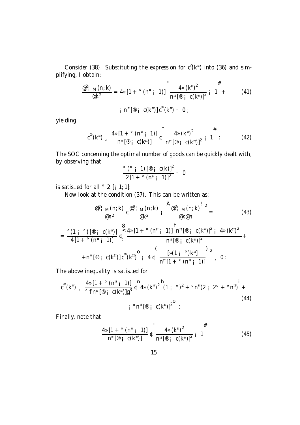Consider (38). Substituting the expression for  $c^0$ ( $k^{\pi}$ ) into (36) and simplifying, I obtain:

$$
\frac{\varpi^{2} \mid M(n; k)}{\varpi k^{2}} = 4 \times [1 + \degree (n^{\pi} \mid 1)] \frac{4 \times (k^{\pi})^{2}}{n^{\pi} [\varpi \mid c(k^{\pi})]^{2}} \frac{\#}{i \cdot 1 + \qquad (41)
$$

$$
i nn [® i c(kn)] c00(kn) · 0 ;
$$

yielding

$$
c^{00}(k^{n}) = \frac{4 \times [1 + \circ (n^{n} + 1)]}{n^{n} [\mathcal{D} + c(k^{n})]} \mathfrak{e}^{n} = \frac{4 \times (k^{n})^{2}}{n^{n} [\mathcal{D} + c(k^{n})]^{2}} \mathfrak{i}^{n} = 1
$$
 (42)

The SOC concerning the optimal number of goods can be quickly dealt with, by observing that

$$
\frac{\circ (\circ \; \mathsf{j} \; 1) \, [\circledast \; \mathsf{j} \; c(k)]^2}{2 \, [1 + \circ (n \, \mathsf{k} \; 1)]^3} \cdot 0
$$

is satis...ed for all  $\degree$  2 [ $\vert$  1; 1]:

Now look at the condition (37). This can be written as:

$$
\frac{\frac{a^{2} \mid M(n;k)}{a^{2}} \left(\frac{a^{2} \mid M(n;k)}{k^{2}}\right)^{2}}{\frac{a^{2} \mid M(n;k)}{k^{2}} \left(\frac{a^{2} \mid M(n;k)}{k^{2}}\right)^{2}} = \frac{43}{48}
$$

$$
= \frac{{}^{\circ}(1 \; i \; \circ) \left[ \text{ }^{\circledcirc} \; i \; \text{ } C(k^n) \right]}{4 \left[ 1 + {}^{\circ} (n^n \; i \; 1) \right]} \; t \overset{\mathbf{8}}{\underset{\sim}{\sim}} \frac{4 \, \mathfrak{p} \left[ 1 + {}^{\circ} (n^n \; i \; 1) \right]}{1 + {}^{\circledcirc} \left[ \text{ }^{\circledcirc} \; i \; \text{ } C(k^n) \right]^2} \; t \; 4 \, \mathfrak{p} \left( k^n \right)^2}{\frac{1}{n^n \left[ \text{ }^{\circledcirc} \; i \; \text{ } C(k^n) \right]^2}{1 + n^n \left[ \text{ }^{\circledcirc} \; i \; \text{ } C(k^n) \right] \; c^n \left( k^n \right)^2} \; t \; 4 \, \mathfrak{p} \left( k^n \right)^2} \; t \; 4 \, \mathfrak{p} \left( k^n \right)^2
$$

The above inequality is satis…ed for

$$
c^{0} (k^{n}) = \frac{4 \times [1 + \circ (n^{n} \text{ i } 1)]}{\circ f n^{n} [\text{B} \text{ i } C(k^{n})]g^{3}} t^{n} 4 \times (k^{n})^{2} (1 + \circ)^{2} + \circ n^{n} (2 \text{ i } 2^{\circ} + \circ n^{n}) + \text{(44)}
$$
\n
$$
i \circ n^{n} [\text{B} \text{ i } C(k^{n})]^{2}.
$$

Finally, note that

$$
\frac{4 \times [1 + \circ (n^{n} \text{ i } 1)]}{n^{n} [\mathcal{B} \text{ i } C(k^{n})]} \mathcal{L} \frac{4 \times (k^{n})^{2}}{n^{n} [\mathcal{B} \text{ i } C(k^{n})]^{2}} \mathcal{L} \frac{\#}{1}
$$
(45)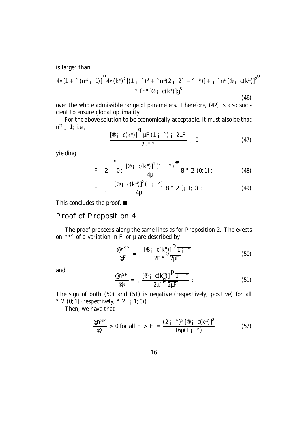is larger than

$$
\frac{4 \times [1 + \circ (n^{\pi} i \ 1)]^{n} 4 \times (k^{\pi})^{2} [(1 i \circ)^{2} + \circ n^{\pi} (2 i \ 2^{\circ} + \circ n^{\pi})] + i \circ n^{\pi} [\mathcal{B} i \ c(k^{\pi})]^{2}}{\circ f n^{\pi} [\mathcal{B} i \ c(k^{\pi})]g^{3}}
$$
\n(46)

over the whole admissible range of parameters. Therefore, (42) is also su¢ cient to ensure global optimality.

For the above solution to be economically acceptable, it must also be that  $n^{\alpha}$ , 1; i.e.,

$$
\frac{\left[\mathbb{P}\left[\begin{array}{cc}c(k^{\pi})\end{array}\right]\right]^{4}\overline{\mu F(1\overline{i})}\overline{i}2\mu F}{2\mu F^{\circ}}
$$
 0 (47)

yielding

F 2 0; 
$$
\frac{[\mathscr{B} \text{ i } C(k^{\pi})]^2 (1 \text{ i }^{\circ})^{\#}}{4\mu}
$$
 8° 2 (0; 1] ; (48)

F 
$$
\frac{[\circ] i c(k^{n})]^2 (1 i \circ)}{4\mu} 8 \circ 2 [i 1; 0)
$$
 : (49)

This concludes the proof. ■

#### Proof of Proposition 4

The proof proceeds along the same lines as for Proposition 2. The e¤ects on  $n^{SP}$  of a variation in F or  $\mu$  are described by:

$$
\frac{\mathscr{E}n^{SP}}{\mathscr{E}F} = i \frac{\left[\mathscr{E}i \ c(k^{\mathscr{E}})\right]^{1/2} \overline{1} \overline{i^{\mathscr{E}}}}{2F^{\circ}} \tag{50}
$$

and

$$
\frac{\mathscr{E}n^{SP}}{\mathscr{E}\mu} = i \frac{\left[\mathscr{E}i C(k^{\mu})\right]^{P}\overline{1i^{\circ}}}{2\mu^{\circ}}.
$$
\n(51)

The sign of both (50) and (51) is negative (respectively, positive) for all  $\degree$  2 (0; 1] (respectively,  $\degree$  2 [; 1; 0)).

Then, we have that

$$
\frac{\mathsf{e} \mathsf{n}^{\mathsf{SP}}}{\mathsf{e}^{\circ}} > 0 \text{ for all } \mathsf{F} > \mathsf{E} = \frac{(2 \mathsf{i} \ ^{\circ})^2 \left[ \mathsf{B} \ \mathsf{i} \ \mathsf{C}(\mathsf{k}^{\mathsf{n}}) \right]^2}{16 \mu (1 \mathsf{i} \ ^{\circ})} \tag{52}
$$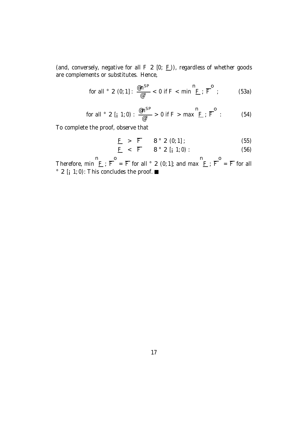(and, conversely, negative for all  $F$  2 [0;  $F$ )), regardless of whether goods are complements or substitutes. Hence,

$$
\text{for all } ^{\circ} 2 (0; 1]: \frac{\text{exp}}{\text{e}^{\circ}} < 0 \text{ if } F < \text{min } ^{\mathbf{n}} \underline{F} : \overline{F}^{\mathbf{0}}: \qquad (53a)
$$

for all ° 2 [
$$
_{i}
$$
 1; 0) :  $\frac{\omega_{n}^{SP}}{\omega_{o}} > 0$  if F > max  $\frac{n}{E}$  ;  $\overline{F}^{o}$  : (54)

To complete the proof, observe that

$$
\underline{F} > \overline{F} \qquad 8 \text{ }^{\circ} \text{ } 2 \text{ } (0,1] \tag{55}
$$

$$
\underline{F} < \overline{F} \qquad 8^\circ 2 \left[ \begin{array}{cc} 1;0 \end{array} \right) : \qquad (56)
$$

Therefore, min  $E$ ;  $\overline{F} = \overline{F}$  for all ° 2 (0; 1]; and max  $E$ ;  $\overline{F} = \overline{F}$  for all  $\degree$  2 [; 1; 0): This concludes the proof.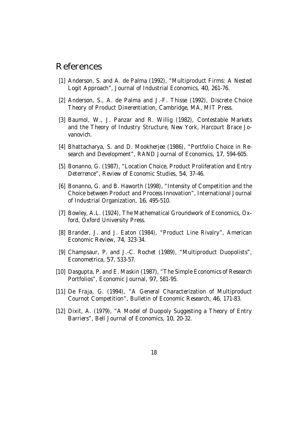#### References

- [1] Anderson, S. and A. de Palma (1992), "Multiproduct Firms: A Nested Logit Approach", Journal of Industrial Economics, 40, 261-76.
- [2] Anderson, S., A. de Palma and J.-F. Thisse (1992), Discrete Choice Theory of Product Di¤erentiation, Cambridge, MA, MIT Press.
- [3] Baumol, W., J. Panzar and R. Willig (1982), Contestable Markets and the Theory of Industry Structure, New York, Harcourt Brace Jovanovich.
- [4] Bhattacharya, S. and D. Mookherjee (1986), "Portfolio Choice in Research and Development", RAND Journal of Economics, 17, 594-605.
- [5] Bonanno, G. (1987), "Location Choice, Product Proliferation and Entry Deterrence", Review of Economic Studies, 54, 37-46.
- [6] Bonanno, G. and B. Haworth (1998), "Intensity of Competition and the Choice between Product and Process Innovation", International Journal of Industrial Organization, 16, 495-510.
- [7] Bowley, A.L. (1924), The Mathematical Groundwork of Economics, Oxford, Oxford University Press.
- [8] Brander, J. and J. Eaton (1984), "Product Line Rivalry", American Economic Review, 74, 323-34.
- [9] Champsaur, P. and J.-C. Rochet (1989), "Multiproduct Duopolists", Econometrica, 57, 533-57.
- [10] Dasgupta, P. and E. Maskin (1987), "The Simple Economics of Research Portfolios", Economic Journal, 97, 581-95.
- [11] De Fraja, G. (1994), "A General Characterization of Multiproduct Cournot Competition", Bulletin of Economic Research, 46, 171-83.
- [12] Dixit, A. (1979), "A Model of Duopoly Suggesting a Theory of Entry Barriers", Bell Journal of Economics, 10, 20-32.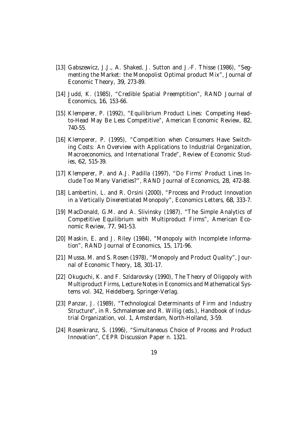- [13] Gabszewicz, J.J., A. Shaked, J. Sutton and J.-F. Thisse (1986), "Seqmenting the Market: the Monopolist Optimal product Mix", Journal of Economic Theory, 39, 273-89.
- [14] Judd, K. (1985), "Credible Spatial Preemptition", RAND Journal of Economics, 16, 153-66.
- [15] Klemperer, P. (1992), "Equilibrium Product Lines: Competing Headto-Head May Be Less Competitive", American Economic Review, 82, 740-55.
- [16] Klemperer, P. (1995), "Competition when Consumers Have Switching Costs: An Overview with Applications to Industrial Organization, Macroeconomics, and International Trade", Review of Economic Studies, 62, 515-39.
- [17] Klemperer, P. and A.J. Padilla (1997), "Do Firms' Product Lines Include Too Many Varieties?", RAND Journal of Economics, 28, 472-88.
- [18] Lambertini, L. and R. Orsini (2000), "Process and Product Innovation in a Vertically Di¤erentiated Monopoly", Economics Letters, 68, 333-7.
- [19] MacDonald, G.M. and A. Slivinsky (1987), "The Simple Analytics of Competitive Equilibrium with Multiproduct Firms", American Economic Review, 77, 941-53.
- [20] Maskin, E. and J. Riley (1984), "Monopoly with Incomplete Information", RAND Journal of Economics, 15, 171-96.
- [21] Mussa, M. and S. Rosen (1978), "Monopoly and Product Quality", Journal of Economic Theory, 18, 301-17.
- [22] Okuguchi, K. and F. Szidarovsky (1990), The Theory of Oligopoly with Multiproduct Firms, Lecture Notes in Economics and Mathematical Systems vol. 342, Heidelberg, Springer-Verlag.
- [23] Panzar, J. (1989), "Technological Determinants of Firm and Industry Structure", in R. Schmalensee and R. Willig (eds.), Handbook of Industrial Organization, vol. 1, Amsterdam, North-Holland, 3-59.
- [24] Rosenkranz, S. (1996), "Simultaneous Choice of Process and Product Innovation", CEPR Discussion Paper n. 1321.